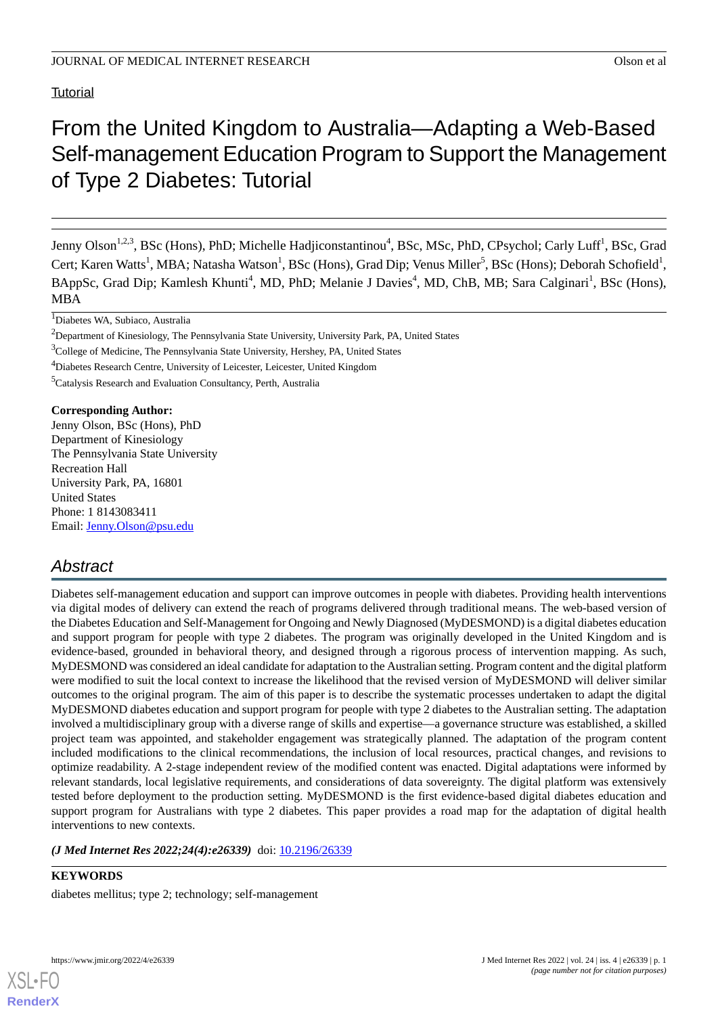**Tutorial** 

# From the United Kingdom to Australia—Adapting a Web-Based Self-management Education Program to Support the Management of Type 2 Diabetes: Tutorial

Jenny Olson<sup>1,2,3</sup>, BSc (Hons), PhD; Michelle Hadjiconstantinou<sup>4</sup>, BSc, MSc, PhD, CPsychol; Carly Luff<sup>1</sup>, BSc, Grad Cert; Karen Watts<sup>1</sup>, MBA; Natasha Watson<sup>1</sup>, BSc (Hons), Grad Dip; Venus Miller<sup>5</sup>, BSc (Hons); Deborah Schofield<sup>1</sup>, BAppSc, Grad Dip; Kamlesh Khunti<sup>4</sup>, MD, PhD; Melanie J Davies<sup>4</sup>, MD, ChB, MB; Sara Calginari<sup>1</sup>, BSc (Hons), MBA

 $\overline{1}$ Diabetes WA, Subiaco, Australia

<sup>3</sup>College of Medicine, The Pennsylvania State University, Hershey, PA, United States

<sup>4</sup>Diabetes Research Centre, University of Leicester, Leicester, United Kingdom

<sup>5</sup>Catalysis Research and Evaluation Consultancy, Perth, Australia

**Corresponding Author:** Jenny Olson, BSc (Hons), PhD Department of Kinesiology The Pennsylvania State University Recreation Hall University Park, PA, 16801 United States Phone: 1 8143083411 Email: [Jenny.Olson@psu.edu](mailto:Jenny.Olson@psu.edu)

## *Abstract*

Diabetes self-management education and support can improve outcomes in people with diabetes. Providing health interventions via digital modes of delivery can extend the reach of programs delivered through traditional means. The web-based version of the Diabetes Education and Self-Management for Ongoing and Newly Diagnosed (MyDESMOND) is a digital diabetes education and support program for people with type 2 diabetes. The program was originally developed in the United Kingdom and is evidence-based, grounded in behavioral theory, and designed through a rigorous process of intervention mapping. As such, MyDESMOND was considered an ideal candidate for adaptation to the Australian setting. Program content and the digital platform were modified to suit the local context to increase the likelihood that the revised version of MyDESMOND will deliver similar outcomes to the original program. The aim of this paper is to describe the systematic processes undertaken to adapt the digital MyDESMOND diabetes education and support program for people with type 2 diabetes to the Australian setting. The adaptation involved a multidisciplinary group with a diverse range of skills and expertise—a governance structure was established, a skilled project team was appointed, and stakeholder engagement was strategically planned. The adaptation of the program content included modifications to the clinical recommendations, the inclusion of local resources, practical changes, and revisions to optimize readability. A 2-stage independent review of the modified content was enacted. Digital adaptations were informed by relevant standards, local legislative requirements, and considerations of data sovereignty. The digital platform was extensively tested before deployment to the production setting. MyDESMOND is the first evidence-based digital diabetes education and support program for Australians with type 2 diabetes. This paper provides a road map for the adaptation of digital health interventions to new contexts.

(*J Med Internet Res 2022;24(4):e26339*) doi: [10.2196/26339](http://dx.doi.org/10.2196/26339)

**KEYWORDS** diabetes mellitus; type 2; technology; self-management



<sup>&</sup>lt;sup>2</sup>Department of Kinesiology, The Pennsylvania State University, University Park, PA, United States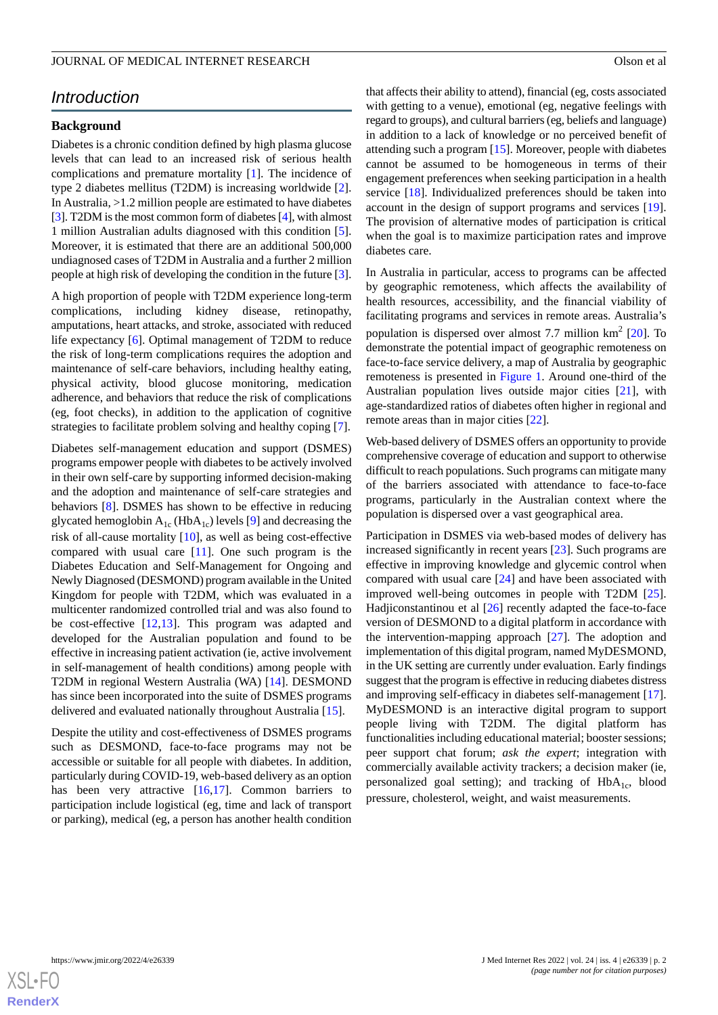## *Introduction*

#### **Background**

Diabetes is a chronic condition defined by high plasma glucose levels that can lead to an increased risk of serious health complications and premature mortality [[1\]](#page-9-0). The incidence of type 2 diabetes mellitus (T2DM) is increasing worldwide [[2\]](#page-9-1). In Australia, >1.2 million people are estimated to have diabetes [[3\]](#page-9-2). T2DM is the most common form of diabetes [\[4\]](#page-9-3), with almost 1 million Australian adults diagnosed with this condition [[5\]](#page-9-4). Moreover, it is estimated that there are an additional 500,000 undiagnosed cases of T2DM in Australia and a further 2 million people at high risk of developing the condition in the future [[3\]](#page-9-2).

A high proportion of people with T2DM experience long-term complications, including kidney disease, retinopathy, amputations, heart attacks, and stroke, associated with reduced life expectancy [[6\]](#page-9-5). Optimal management of T2DM to reduce the risk of long-term complications requires the adoption and maintenance of self-care behaviors, including healthy eating, physical activity, blood glucose monitoring, medication adherence, and behaviors that reduce the risk of complications (eg, foot checks), in addition to the application of cognitive strategies to facilitate problem solving and healthy coping [[7\]](#page-10-0).

Diabetes self-management education and support (DSMES) programs empower people with diabetes to be actively involved in their own self-care by supporting informed decision-making and the adoption and maintenance of self-care strategies and behaviors [[8\]](#page-10-1). DSMES has shown to be effective in reducing glycated hemoglobin  $A_{1c}$  (Hb $A_{1c}$ ) levels [[9](#page-10-2)] and decreasing the risk of all-cause mortality [\[10](#page-10-3)], as well as being cost-effective compared with usual care [[11\]](#page-10-4). One such program is the Diabetes Education and Self-Management for Ongoing and Newly Diagnosed (DESMOND) program available in the United Kingdom for people with T2DM, which was evaluated in a multicenter randomized controlled trial and was also found to be cost-effective [[12](#page-10-5)[,13](#page-10-6)]. This program was adapted and developed for the Australian population and found to be effective in increasing patient activation (ie, active involvement in self-management of health conditions) among people with T2DM in regional Western Australia (WA) [\[14](#page-10-7)]. DESMOND has since been incorporated into the suite of DSMES programs delivered and evaluated nationally throughout Australia [\[15](#page-10-8)].

Despite the utility and cost-effectiveness of DSMES programs such as DESMOND, face-to-face programs may not be accessible or suitable for all people with diabetes. In addition, particularly during COVID-19, web-based delivery as an option has been very attractive [\[16](#page-10-9),[17\]](#page-10-10). Common barriers to participation include logistical (eg, time and lack of transport or parking), medical (eg, a person has another health condition

that affects their ability to attend), financial (eg, costs associated with getting to a venue), emotional (eg, negative feelings with regard to groups), and cultural barriers (eg, beliefs and language) in addition to a lack of knowledge or no perceived benefit of attending such a program [[15\]](#page-10-8). Moreover, people with diabetes cannot be assumed to be homogeneous in terms of their engagement preferences when seeking participation in a health service [[18\]](#page-10-11). Individualized preferences should be taken into account in the design of support programs and services [[19\]](#page-10-12). The provision of alternative modes of participation is critical when the goal is to maximize participation rates and improve diabetes care.

In Australia in particular, access to programs can be affected by geographic remoteness, which affects the availability of health resources, accessibility, and the financial viability of facilitating programs and services in remote areas. Australia's population is dispersed over almost 7.7 million  $km^2$  [\[20](#page-10-13)]. To demonstrate the potential impact of geographic remoteness on face-to-face service delivery, a map of Australia by geographic remoteness is presented in [Figure 1](#page-2-0). Around one-third of the Australian population lives outside major cities [\[21](#page-10-14)], with age-standardized ratios of diabetes often higher in regional and remote areas than in major cities [[22\]](#page-10-15).

Web-based delivery of DSMES offers an opportunity to provide comprehensive coverage of education and support to otherwise difficult to reach populations. Such programs can mitigate many of the barriers associated with attendance to face-to-face programs, particularly in the Australian context where the population is dispersed over a vast geographical area.

Participation in DSMES via web-based modes of delivery has increased significantly in recent years [[23\]](#page-10-16). Such programs are effective in improving knowledge and glycemic control when compared with usual care [[24\]](#page-10-17) and have been associated with improved well-being outcomes in people with T2DM [[25\]](#page-10-18). Hadjiconstantinou et al [\[26](#page-10-19)] recently adapted the face-to-face version of DESMOND to a digital platform in accordance with the intervention-mapping approach [\[27](#page-10-20)]. The adoption and implementation of this digital program, named MyDESMOND, in the UK setting are currently under evaluation. Early findings suggest that the program is effective in reducing diabetes distress and improving self-efficacy in diabetes self-management [[17\]](#page-10-10). MyDESMOND is an interactive digital program to support people living with T2DM. The digital platform has functionalities including educational material; booster sessions; peer support chat forum; *ask the expert*; integration with commercially available activity trackers; a decision maker (ie, personalized goal setting); and tracking of  $HbA<sub>1c</sub>$ , blood pressure, cholesterol, weight, and waist measurements.

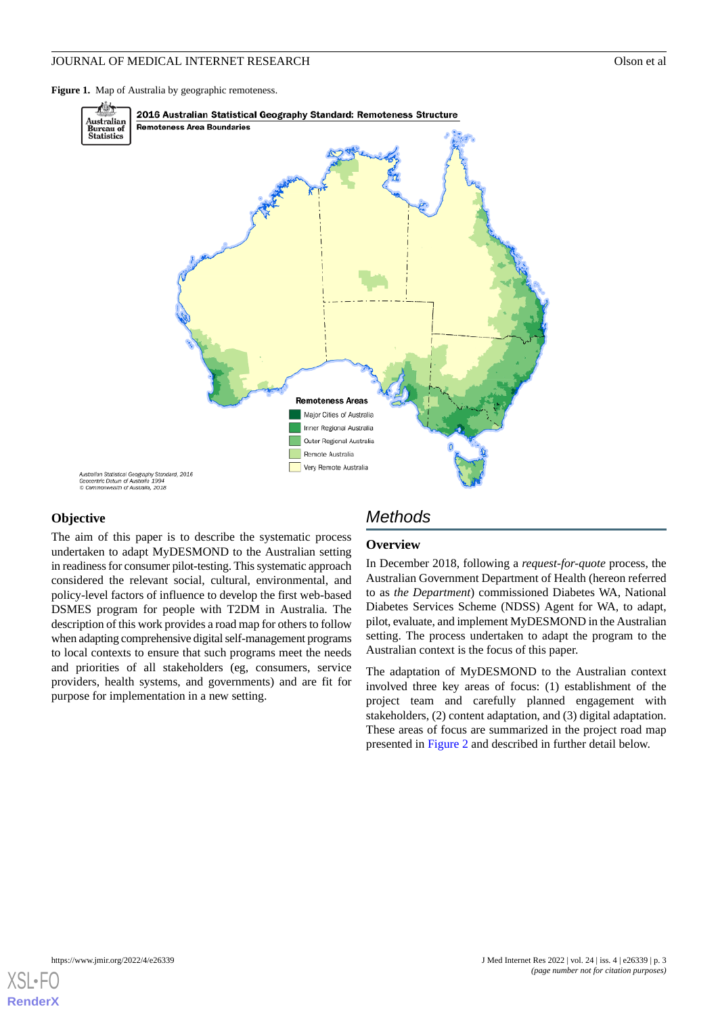<span id="page-2-0"></span>Figure 1. Map of Australia by geographic remoteness.



#### **Objective**

The aim of this paper is to describe the systematic process undertaken to adapt MyDESMOND to the Australian setting in readiness for consumer pilot-testing. This systematic approach considered the relevant social, cultural, environmental, and policy-level factors of influence to develop the first web-based DSMES program for people with T2DM in Australia. The description of this work provides a road map for others to follow when adapting comprehensive digital self-management programs to local contexts to ensure that such programs meet the needs and priorities of all stakeholders (eg, consumers, service providers, health systems, and governments) and are fit for purpose for implementation in a new setting.

## *Methods*

#### **Overview**

In December 2018, following a *request-for-quote* process, the Australian Government Department of Health (hereon referred to as *the Department*) commissioned Diabetes WA, National Diabetes Services Scheme (NDSS) Agent for WA, to adapt, pilot, evaluate, and implement MyDESMOND in the Australian setting. The process undertaken to adapt the program to the Australian context is the focus of this paper.

The adaptation of MyDESMOND to the Australian context involved three key areas of focus: (1) establishment of the project team and carefully planned engagement with stakeholders, (2) content adaptation, and (3) digital adaptation. These areas of focus are summarized in the project road map presented in [Figure 2](#page-3-0) and described in further detail below.

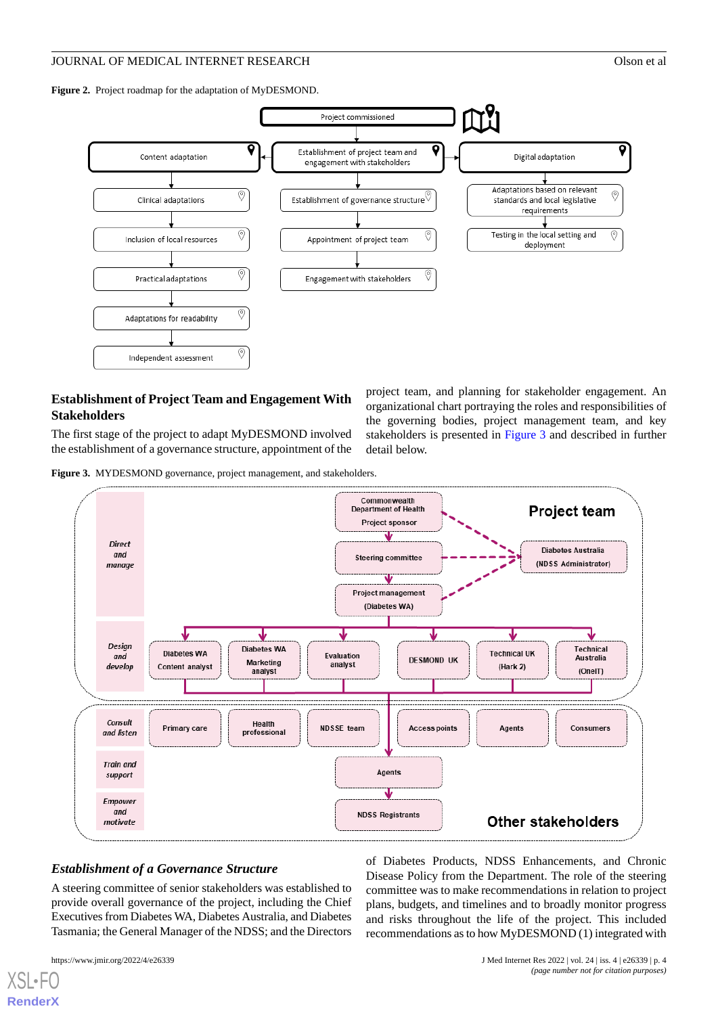<span id="page-3-0"></span>**Figure 2.** Project roadmap for the adaptation of MyDESMOND.



## **Establishment of Project Team and Engagement With Stakeholders**

<span id="page-3-1"></span>The first stage of the project to adapt MyDESMOND involved the establishment of a governance structure, appointment of the project team, and planning for stakeholder engagement. An organizational chart portraying the roles and responsibilities of the governing bodies, project management team, and key stakeholders is presented in [Figure 3](#page-3-1) and described in further detail below.

**Figure 3.** MYDESMOND governance, project management, and stakeholders.



## *Establishment of a Governance Structure*

A steering committee of senior stakeholders was established to provide overall governance of the project, including the Chief Executives from Diabetes WA, Diabetes Australia, and Diabetes Tasmania; the General Manager of the NDSS; and the Directors

[XSL](http://www.w3.org/Style/XSL)•FO **[RenderX](http://www.renderx.com/)**

of Diabetes Products, NDSS Enhancements, and Chronic Disease Policy from the Department. The role of the steering committee was to make recommendations in relation to project plans, budgets, and timelines and to broadly monitor progress and risks throughout the life of the project. This included recommendations as to how MyDESMOND (1) integrated with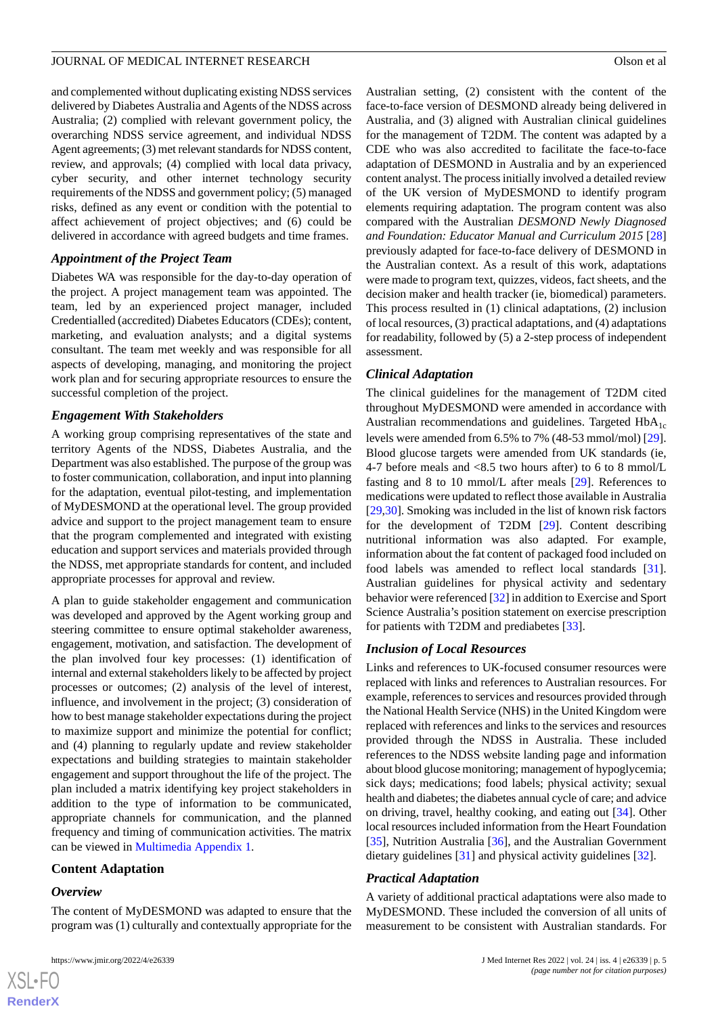and complemented without duplicating existing NDSS services delivered by Diabetes Australia and Agents of the NDSS across Australia; (2) complied with relevant government policy, the overarching NDSS service agreement, and individual NDSS Agent agreements; (3) met relevant standards for NDSS content, review, and approvals; (4) complied with local data privacy, cyber security, and other internet technology security requirements of the NDSS and government policy; (5) managed risks, defined as any event or condition with the potential to affect achievement of project objectives; and (6) could be delivered in accordance with agreed budgets and time frames.

## *Appointment of the Project Team*

Diabetes WA was responsible for the day-to-day operation of the project. A project management team was appointed. The team, led by an experienced project manager, included Credentialled (accredited) Diabetes Educators (CDEs); content, marketing, and evaluation analysts; and a digital systems consultant. The team met weekly and was responsible for all aspects of developing, managing, and monitoring the project work plan and for securing appropriate resources to ensure the successful completion of the project.

## *Engagement With Stakeholders*

A working group comprising representatives of the state and territory Agents of the NDSS, Diabetes Australia, and the Department was also established. The purpose of the group was to foster communication, collaboration, and input into planning for the adaptation, eventual pilot-testing, and implementation of MyDESMOND at the operational level. The group provided advice and support to the project management team to ensure that the program complemented and integrated with existing education and support services and materials provided through the NDSS, met appropriate standards for content, and included appropriate processes for approval and review.

A plan to guide stakeholder engagement and communication was developed and approved by the Agent working group and steering committee to ensure optimal stakeholder awareness, engagement, motivation, and satisfaction. The development of the plan involved four key processes: (1) identification of internal and external stakeholders likely to be affected by project processes or outcomes; (2) analysis of the level of interest, influence, and involvement in the project; (3) consideration of how to best manage stakeholder expectations during the project to maximize support and minimize the potential for conflict; and (4) planning to regularly update and review stakeholder expectations and building strategies to maintain stakeholder engagement and support throughout the life of the project. The plan included a matrix identifying key project stakeholders in addition to the type of information to be communicated, appropriate channels for communication, and the planned frequency and timing of communication activities. The matrix can be viewed in [Multimedia Appendix 1](#page-9-6).

## **Content Adaptation**

#### *Overview*

 $XS$ -FO **[RenderX](http://www.renderx.com/)**

The content of MyDESMOND was adapted to ensure that the program was (1) culturally and contextually appropriate for the Australian setting, (2) consistent with the content of the face-to-face version of DESMOND already being delivered in Australia, and (3) aligned with Australian clinical guidelines for the management of T2DM. The content was adapted by a CDE who was also accredited to facilitate the face-to-face adaptation of DESMOND in Australia and by an experienced content analyst. The process initially involved a detailed review of the UK version of MyDESMOND to identify program elements requiring adaptation. The program content was also compared with the Australian *DESMOND Newly Diagnosed and Foundation: Educator Manual and Curriculum 2015* [\[28](#page-10-21)] previously adapted for face-to-face delivery of DESMOND in the Australian context. As a result of this work, adaptations were made to program text, quizzes, videos, fact sheets, and the decision maker and health tracker (ie, biomedical) parameters. This process resulted in (1) clinical adaptations, (2) inclusion of local resources, (3) practical adaptations, and (4) adaptations for readability, followed by (5) a 2-step process of independent

## *Clinical Adaptation*

assessment.

The clinical guidelines for the management of T2DM cited throughout MyDESMOND were amended in accordance with Australian recommendations and guidelines. Targeted  $HbA_{1c}$ levels were amended from 6.5% to 7% (48-53 mmol/mol) [[29\]](#page-11-0). Blood glucose targets were amended from UK standards (ie, 4-7 before meals and <8.5 two hours after) to 6 to 8 mmol/L fasting and 8 to 10 mmol/L after meals [[29\]](#page-11-0). References to medications were updated to reflect those available in Australia [[29,](#page-11-0)[30\]](#page-11-1). Smoking was included in the list of known risk factors for the development of T2DM [\[29](#page-11-0)]. Content describing nutritional information was also adapted. For example, information about the fat content of packaged food included on food labels was amended to reflect local standards [[31\]](#page-11-2). Australian guidelines for physical activity and sedentary behavior were referenced [\[32](#page-11-3)] in addition to Exercise and Sport Science Australia's position statement on exercise prescription for patients with T2DM and prediabetes [[33\]](#page-11-4).

#### *Inclusion of Local Resources*

Links and references to UK-focused consumer resources were replaced with links and references to Australian resources. For example, references to services and resources provided through the National Health Service (NHS) in the United Kingdom were replaced with references and links to the services and resources provided through the NDSS in Australia. These included references to the NDSS website landing page and information about blood glucose monitoring; management of hypoglycemia; sick days; medications; food labels; physical activity; sexual health and diabetes; the diabetes annual cycle of care; and advice on driving, travel, healthy cooking, and eating out [\[34](#page-11-5)]. Other local resources included information from the Heart Foundation [[35\]](#page-11-6), Nutrition Australia [[36\]](#page-11-7), and the Australian Government dietary guidelines [[31\]](#page-11-2) and physical activity guidelines [[32\]](#page-11-3).

## *Practical Adaptation*

A variety of additional practical adaptations were also made to MyDESMOND. These included the conversion of all units of measurement to be consistent with Australian standards. For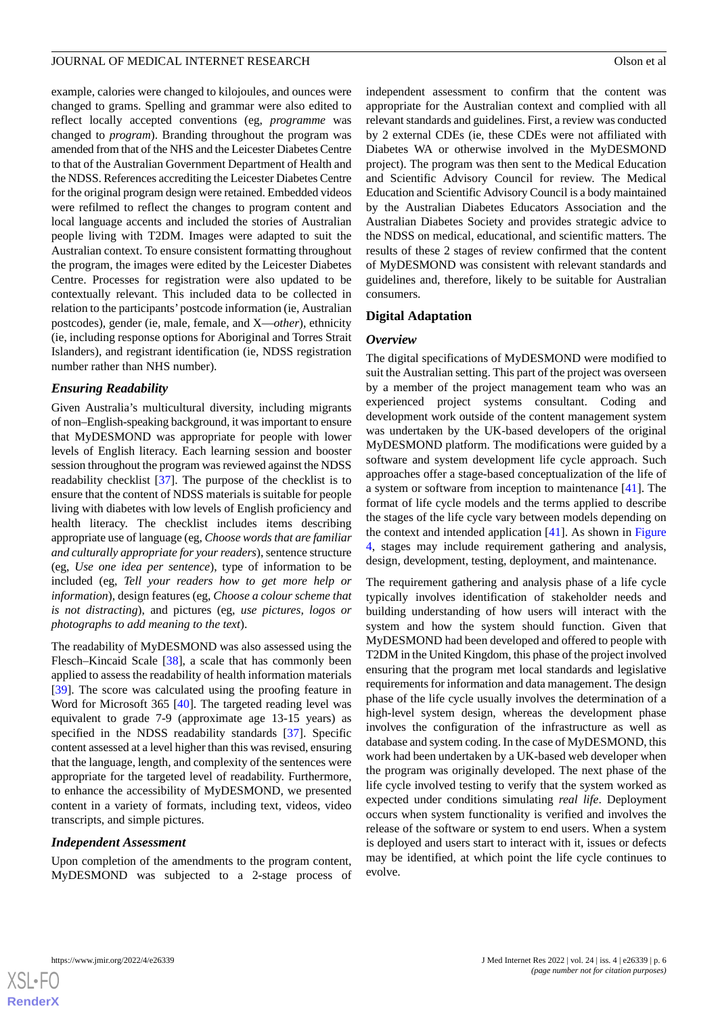example, calories were changed to kilojoules, and ounces were changed to grams. Spelling and grammar were also edited to reflect locally accepted conventions (eg, *programme* was changed to *program*). Branding throughout the program was amended from that of the NHS and the Leicester Diabetes Centre to that of the Australian Government Department of Health and the NDSS. References accrediting the Leicester Diabetes Centre for the original program design were retained. Embedded videos were refilmed to reflect the changes to program content and local language accents and included the stories of Australian people living with T2DM. Images were adapted to suit the Australian context. To ensure consistent formatting throughout the program, the images were edited by the Leicester Diabetes Centre. Processes for registration were also updated to be contextually relevant. This included data to be collected in relation to the participants'postcode information (ie, Australian postcodes), gender (ie, male, female, and X—*other*), ethnicity (ie, including response options for Aboriginal and Torres Strait Islanders), and registrant identification (ie, NDSS registration number rather than NHS number).

## *Ensuring Readability*

Given Australia's multicultural diversity, including migrants of non–English-speaking background, it was important to ensure that MyDESMOND was appropriate for people with lower levels of English literacy. Each learning session and booster session throughout the program was reviewed against the NDSS readability checklist [[37\]](#page-11-8). The purpose of the checklist is to ensure that the content of NDSS materials is suitable for people living with diabetes with low levels of English proficiency and health literacy. The checklist includes items describing appropriate use of language (eg, *Choose words that are familiar and culturally appropriate for your readers*), sentence structure (eg, *Use one idea per sentence*), type of information to be included (eg, *Tell your readers how to get more help or information*), design features (eg, *Choose a colour scheme that is not distracting*), and pictures (eg, *use pictures, logos or photographs to add meaning to the text*).

The readability of MyDESMOND was also assessed using the Flesch–Kincaid Scale [\[38](#page-11-9)], a scale that has commonly been applied to assess the readability of health information materials [[39\]](#page-11-10). The score was calculated using the proofing feature in Word for Microsoft 365 [\[40](#page-11-11)]. The targeted reading level was equivalent to grade 7-9 (approximate age 13-15 years) as specified in the NDSS readability standards [\[37](#page-11-8)]. Specific content assessed at a level higher than this was revised, ensuring that the language, length, and complexity of the sentences were appropriate for the targeted level of readability. Furthermore, to enhance the accessibility of MyDESMOND, we presented content in a variety of formats, including text, videos, video transcripts, and simple pictures.

#### *Independent Assessment*

Upon completion of the amendments to the program content, MyDESMOND was subjected to a 2-stage process of

independent assessment to confirm that the content was appropriate for the Australian context and complied with all relevant standards and guidelines. First, a review was conducted by 2 external CDEs (ie, these CDEs were not affiliated with Diabetes WA or otherwise involved in the MyDESMOND project). The program was then sent to the Medical Education and Scientific Advisory Council for review. The Medical Education and Scientific Advisory Council is a body maintained by the Australian Diabetes Educators Association and the Australian Diabetes Society and provides strategic advice to the NDSS on medical, educational, and scientific matters. The results of these 2 stages of review confirmed that the content of MyDESMOND was consistent with relevant standards and guidelines and, therefore, likely to be suitable for Australian consumers.

#### **Digital Adaptation**

#### *Overview*

The digital specifications of MyDESMOND were modified to suit the Australian setting. This part of the project was overseen by a member of the project management team who was an experienced project systems consultant. Coding and development work outside of the content management system was undertaken by the UK-based developers of the original MyDESMOND platform. The modifications were guided by a software and system development life cycle approach. Such approaches offer a stage-based conceptualization of the life of a system or software from inception to maintenance [[41\]](#page-11-12). The format of life cycle models and the terms applied to describe the stages of the life cycle vary between models depending on the context and intended application [\[41](#page-11-12)]. As shown in [Figure](#page-6-0) [4,](#page-6-0) stages may include requirement gathering and analysis, design, development, testing, deployment, and maintenance.

The requirement gathering and analysis phase of a life cycle typically involves identification of stakeholder needs and building understanding of how users will interact with the system and how the system should function. Given that MyDESMOND had been developed and offered to people with T2DM in the United Kingdom, this phase of the project involved ensuring that the program met local standards and legislative requirements for information and data management. The design phase of the life cycle usually involves the determination of a high-level system design, whereas the development phase involves the configuration of the infrastructure as well as database and system coding. In the case of MyDESMOND, this work had been undertaken by a UK-based web developer when the program was originally developed. The next phase of the life cycle involved testing to verify that the system worked as expected under conditions simulating *real life*. Deployment occurs when system functionality is verified and involves the release of the software or system to end users. When a system is deployed and users start to interact with it, issues or defects may be identified, at which point the life cycle continues to evolve.

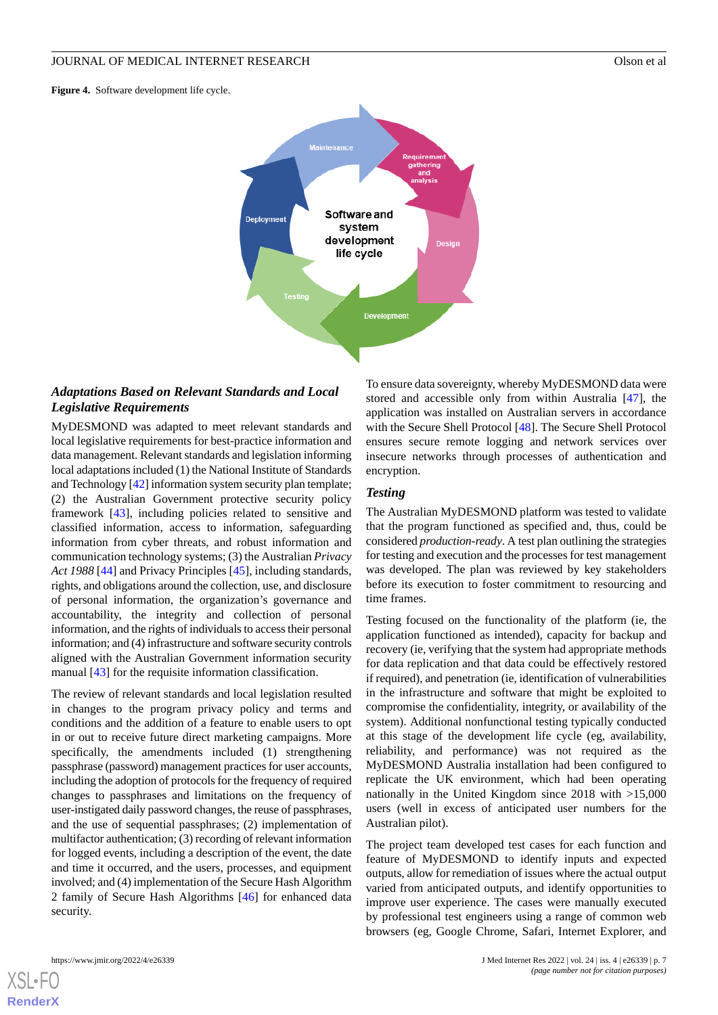<span id="page-6-0"></span>**Figure 4.** Software development life cycle.



## *Adaptations Based on Relevant Standards and Local Legislative Requirements*

MyDESMOND was adapted to meet relevant standards and local legislative requirements for best-practice information and data management. Relevant standards and legislation informing local adaptations included (1) the National Institute of Standards and Technology [\[42](#page-11-13)] information system security plan template; (2) the Australian Government protective security policy framework [\[43](#page-11-14)], including policies related to sensitive and classified information, access to information, safeguarding information from cyber threats, and robust information and communication technology systems; (3) the Australian *Privacy Act 1988* [[44\]](#page-11-15) and Privacy Principles [\[45](#page-11-16)], including standards, rights, and obligations around the collection, use, and disclosure of personal information, the organization's governance and accountability, the integrity and collection of personal information, and the rights of individuals to access their personal information; and (4) infrastructure and software security controls aligned with the Australian Government information security manual [[43\]](#page-11-14) for the requisite information classification.

The review of relevant standards and local legislation resulted in changes to the program privacy policy and terms and conditions and the addition of a feature to enable users to opt in or out to receive future direct marketing campaigns. More specifically, the amendments included (1) strengthening passphrase (password) management practices for user accounts, including the adoption of protocols for the frequency of required changes to passphrases and limitations on the frequency of user-instigated daily password changes, the reuse of passphrases, and the use of sequential passphrases; (2) implementation of multifactor authentication; (3) recording of relevant information for logged events, including a description of the event, the date and time it occurred, and the users, processes, and equipment involved; and (4) implementation of the Secure Hash Algorithm 2 family of Secure Hash Algorithms [[46\]](#page-11-17) for enhanced data security.

To ensure data sovereignty, whereby MyDESMOND data were stored and accessible only from within Australia [[47\]](#page-11-18), the application was installed on Australian servers in accordance with the Secure Shell Protocol [\[48](#page-11-19)]. The Secure Shell Protocol ensures secure remote logging and network services over insecure networks through processes of authentication and encryption.

#### *Testing*

The Australian MyDESMOND platform was tested to validate that the program functioned as specified and, thus, could be considered *production-ready*. A test plan outlining the strategies for testing and execution and the processes for test management was developed. The plan was reviewed by key stakeholders before its execution to foster commitment to resourcing and time frames.

Testing focused on the functionality of the platform (ie, the application functioned as intended), capacity for backup and recovery (ie, verifying that the system had appropriate methods for data replication and that data could be effectively restored if required), and penetration (ie, identification of vulnerabilities in the infrastructure and software that might be exploited to compromise the confidentiality, integrity, or availability of the system). Additional nonfunctional testing typically conducted at this stage of the development life cycle (eg, availability, reliability, and performance) was not required as the MyDESMOND Australia installation had been configured to replicate the UK environment, which had been operating nationally in the United Kingdom since 2018 with >15,000 users (well in excess of anticipated user numbers for the Australian pilot).

The project team developed test cases for each function and feature of MyDESMOND to identify inputs and expected outputs, allow for remediation of issues where the actual output varied from anticipated outputs, and identify opportunities to improve user experience. The cases were manually executed by professional test engineers using a range of common web browsers (eg, Google Chrome, Safari, Internet Explorer, and

[XSL](http://www.w3.org/Style/XSL)•FO **[RenderX](http://www.renderx.com/)**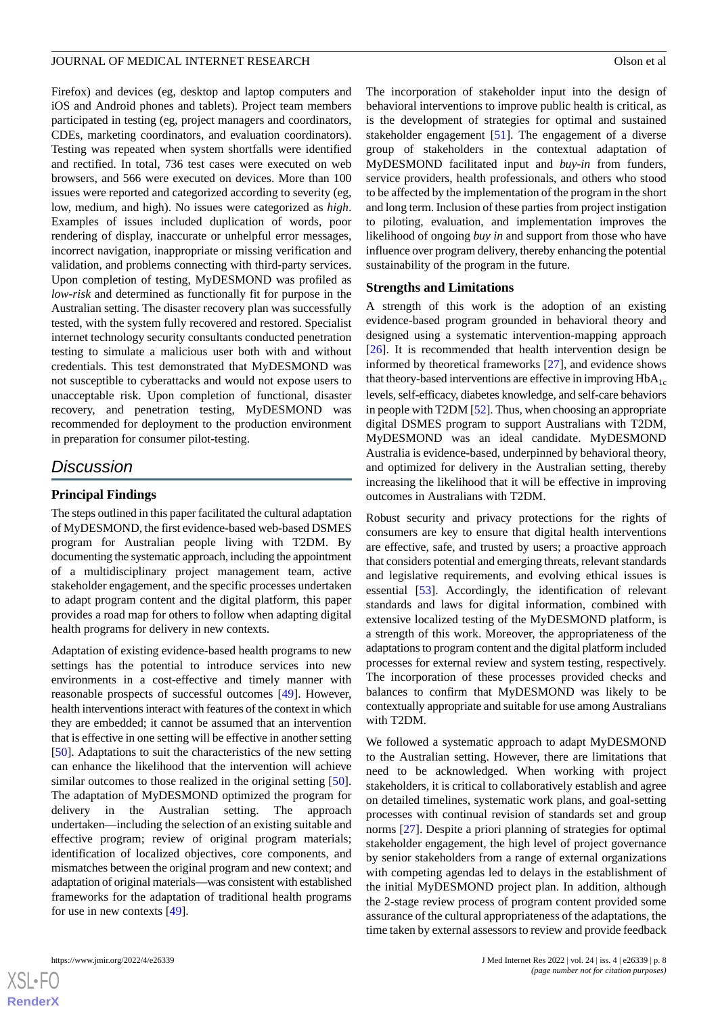Firefox) and devices (eg, desktop and laptop computers and iOS and Android phones and tablets). Project team members participated in testing (eg, project managers and coordinators, CDEs, marketing coordinators, and evaluation coordinators). Testing was repeated when system shortfalls were identified and rectified. In total, 736 test cases were executed on web browsers, and 566 were executed on devices. More than 100 issues were reported and categorized according to severity (eg, low, medium, and high). No issues were categorized as *high*. Examples of issues included duplication of words, poor rendering of display, inaccurate or unhelpful error messages, incorrect navigation, inappropriate or missing verification and validation, and problems connecting with third-party services. Upon completion of testing, MyDESMOND was profiled as *low-risk* and determined as functionally fit for purpose in the Australian setting. The disaster recovery plan was successfully tested, with the system fully recovered and restored. Specialist internet technology security consultants conducted penetration testing to simulate a malicious user both with and without credentials. This test demonstrated that MyDESMOND was not susceptible to cyberattacks and would not expose users to unacceptable risk. Upon completion of functional, disaster recovery, and penetration testing, MyDESMOND was recommended for deployment to the production environment in preparation for consumer pilot-testing.

## *Discussion*

## **Principal Findings**

The steps outlined in this paper facilitated the cultural adaptation of MyDESMOND, the first evidence-based web-based DSMES program for Australian people living with T2DM. By documenting the systematic approach, including the appointment of a multidisciplinary project management team, active stakeholder engagement, and the specific processes undertaken to adapt program content and the digital platform, this paper provides a road map for others to follow when adapting digital health programs for delivery in new contexts.

Adaptation of existing evidence-based health programs to new settings has the potential to introduce services into new environments in a cost-effective and timely manner with reasonable prospects of successful outcomes [[49\]](#page-11-20). However, health interventions interact with features of the context in which they are embedded; it cannot be assumed that an intervention that is effective in one setting will be effective in another setting [[50\]](#page-11-21). Adaptations to suit the characteristics of the new setting can enhance the likelihood that the intervention will achieve similar outcomes to those realized in the original setting [[50\]](#page-11-21). The adaptation of MyDESMOND optimized the program for delivery in the Australian setting. The approach undertaken—including the selection of an existing suitable and effective program; review of original program materials; identification of localized objectives, core components, and mismatches between the original program and new context; and adaptation of original materials—was consistent with established frameworks for the adaptation of traditional health programs for use in new contexts [[49\]](#page-11-20).

The incorporation of stakeholder input into the design of behavioral interventions to improve public health is critical, as is the development of strategies for optimal and sustained stakeholder engagement [[51\]](#page-11-22). The engagement of a diverse group of stakeholders in the contextual adaptation of MyDESMOND facilitated input and *buy-in* from funders, service providers, health professionals, and others who stood to be affected by the implementation of the program in the short and long term. Inclusion of these parties from project instigation to piloting, evaluation, and implementation improves the likelihood of ongoing *buy in* and support from those who have influence over program delivery, thereby enhancing the potential sustainability of the program in the future.

#### **Strengths and Limitations**

A strength of this work is the adoption of an existing evidence-based program grounded in behavioral theory and designed using a systematic intervention-mapping approach [[26\]](#page-10-19). It is recommended that health intervention design be informed by theoretical frameworks [\[27](#page-10-20)], and evidence shows that theory-based interventions are effective in improving  $HbA_{1c}$ levels, self-efficacy, diabetes knowledge, and self-care behaviors in people with T2DM [\[52](#page-11-23)]. Thus, when choosing an appropriate digital DSMES program to support Australians with T2DM, MyDESMOND was an ideal candidate. MyDESMOND Australia is evidence-based, underpinned by behavioral theory, and optimized for delivery in the Australian setting, thereby increasing the likelihood that it will be effective in improving outcomes in Australians with T2DM.

Robust security and privacy protections for the rights of consumers are key to ensure that digital health interventions are effective, safe, and trusted by users; a proactive approach that considers potential and emerging threats, relevant standards and legislative requirements, and evolving ethical issues is essential [[53\]](#page-11-24). Accordingly, the identification of relevant standards and laws for digital information, combined with extensive localized testing of the MyDESMOND platform, is a strength of this work. Moreover, the appropriateness of the adaptations to program content and the digital platform included processes for external review and system testing, respectively. The incorporation of these processes provided checks and balances to confirm that MyDESMOND was likely to be contextually appropriate and suitable for use among Australians with T2DM.

We followed a systematic approach to adapt MyDESMOND to the Australian setting. However, there are limitations that need to be acknowledged. When working with project stakeholders, it is critical to collaboratively establish and agree on detailed timelines, systematic work plans, and goal-setting processes with continual revision of standards set and group norms [[27\]](#page-10-20). Despite a priori planning of strategies for optimal stakeholder engagement, the high level of project governance by senior stakeholders from a range of external organizations with competing agendas led to delays in the establishment of the initial MyDESMOND project plan. In addition, although the 2-stage review process of program content provided some assurance of the cultural appropriateness of the adaptations, the time taken by external assessors to review and provide feedback

 $XS$ -FO **[RenderX](http://www.renderx.com/)**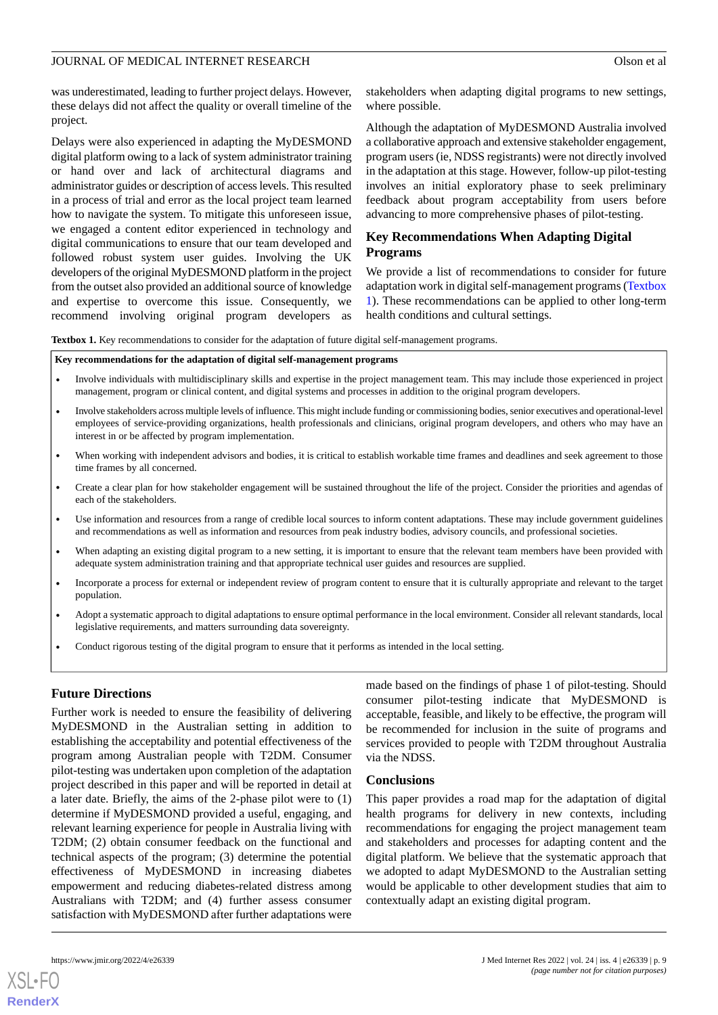was underestimated, leading to further project delays. However, these delays did not affect the quality or overall timeline of the project.

Delays were also experienced in adapting the MyDESMOND digital platform owing to a lack of system administrator training or hand over and lack of architectural diagrams and administrator guides or description of access levels. This resulted in a process of trial and error as the local project team learned how to navigate the system. To mitigate this unforeseen issue, we engaged a content editor experienced in technology and digital communications to ensure that our team developed and followed robust system user guides. Involving the UK developers of the original MyDESMOND platform in the project from the outset also provided an additional source of knowledge and expertise to overcome this issue. Consequently, we recommend involving original program developers as stakeholders when adapting digital programs to new settings, where possible.

Although the adaptation of MyDESMOND Australia involved a collaborative approach and extensive stakeholder engagement, program users (ie, NDSS registrants) were not directly involved in the adaptation at this stage. However, follow-up pilot-testing involves an initial exploratory phase to seek preliminary feedback about program acceptability from users before advancing to more comprehensive phases of pilot-testing.

## **Key Recommendations When Adapting Digital Programs**

We provide a list of recommendations to consider for future adaptation work in digital self-management programs [\(Textbox](#page-8-0) [1\)](#page-8-0). These recommendations can be applied to other long-term health conditions and cultural settings.

<span id="page-8-0"></span>**Textbox 1.** Key recommendations to consider for the adaptation of future digital self-management programs.

#### **Key recommendations for the adaptation of digital self-management programs**

- Involve individuals with multidisciplinary skills and expertise in the project management team. This may include those experienced in project management, program or clinical content, and digital systems and processes in addition to the original program developers.
- Involve stakeholders across multiple levels of influence. This might include funding or commissioning bodies, senior executives and operational-level employees of service-providing organizations, health professionals and clinicians, original program developers, and others who may have an interest in or be affected by program implementation.
- When working with independent advisors and bodies, it is critical to establish workable time frames and deadlines and seek agreement to those time frames by all concerned.
- Create a clear plan for how stakeholder engagement will be sustained throughout the life of the project. Consider the priorities and agendas of each of the stakeholders.
- Use information and resources from a range of credible local sources to inform content adaptations. These may include government guidelines and recommendations as well as information and resources from peak industry bodies, advisory councils, and professional societies.
- When adapting an existing digital program to a new setting, it is important to ensure that the relevant team members have been provided with adequate system administration training and that appropriate technical user guides and resources are supplied.
- Incorporate a process for external or independent review of program content to ensure that it is culturally appropriate and relevant to the target population.
- Adopt a systematic approach to digital adaptations to ensure optimal performance in the local environment. Consider all relevant standards, local legislative requirements, and matters surrounding data sovereignty.
- Conduct rigorous testing of the digital program to ensure that it performs as intended in the local setting.

## **Future Directions**

Further work is needed to ensure the feasibility of delivering MyDESMOND in the Australian setting in addition to establishing the acceptability and potential effectiveness of the program among Australian people with T2DM. Consumer pilot-testing was undertaken upon completion of the adaptation project described in this paper and will be reported in detail at a later date. Briefly, the aims of the 2-phase pilot were to (1) determine if MyDESMOND provided a useful, engaging, and relevant learning experience for people in Australia living with T2DM; (2) obtain consumer feedback on the functional and technical aspects of the program; (3) determine the potential effectiveness of MyDESMOND in increasing diabetes empowerment and reducing diabetes-related distress among Australians with T2DM; and (4) further assess consumer satisfaction with MyDESMOND after further adaptations were

made based on the findings of phase 1 of pilot-testing. Should consumer pilot-testing indicate that MyDESMOND is acceptable, feasible, and likely to be effective, the program will be recommended for inclusion in the suite of programs and services provided to people with T2DM throughout Australia via the NDSS.

#### **Conclusions**

This paper provides a road map for the adaptation of digital health programs for delivery in new contexts, including recommendations for engaging the project management team and stakeholders and processes for adapting content and the digital platform. We believe that the systematic approach that we adopted to adapt MyDESMOND to the Australian setting would be applicable to other development studies that aim to contextually adapt an existing digital program.

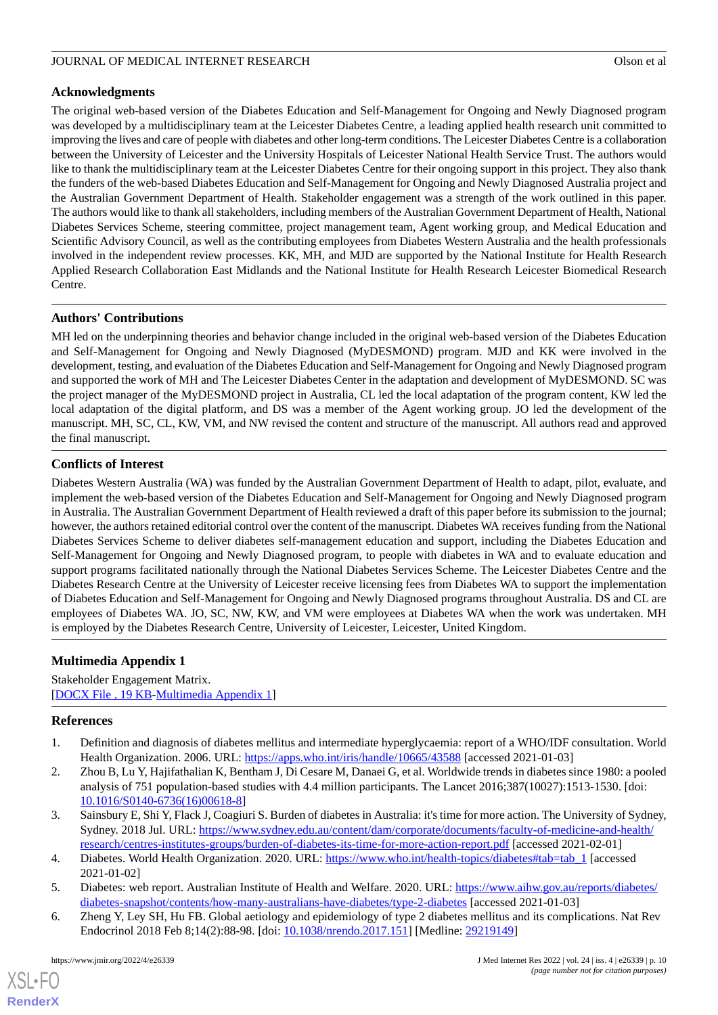## **Acknowledgments**

The original web-based version of the Diabetes Education and Self-Management for Ongoing and Newly Diagnosed program was developed by a multidisciplinary team at the Leicester Diabetes Centre, a leading applied health research unit committed to improving the lives and care of people with diabetes and other long-term conditions. The Leicester Diabetes Centre is a collaboration between the University of Leicester and the University Hospitals of Leicester National Health Service Trust. The authors would like to thank the multidisciplinary team at the Leicester Diabetes Centre for their ongoing support in this project. They also thank the funders of the web-based Diabetes Education and Self-Management for Ongoing and Newly Diagnosed Australia project and the Australian Government Department of Health. Stakeholder engagement was a strength of the work outlined in this paper. The authors would like to thank all stakeholders, including members of the Australian Government Department of Health, National Diabetes Services Scheme, steering committee, project management team, Agent working group, and Medical Education and Scientific Advisory Council, as well as the contributing employees from Diabetes Western Australia and the health professionals involved in the independent review processes. KK, MH, and MJD are supported by the National Institute for Health Research Applied Research Collaboration East Midlands and the National Institute for Health Research Leicester Biomedical Research Centre.

## **Authors' Contributions**

MH led on the underpinning theories and behavior change included in the original web-based version of the Diabetes Education and Self-Management for Ongoing and Newly Diagnosed (MyDESMOND) program. MJD and KK were involved in the development, testing, and evaluation of the Diabetes Education and Self-Management for Ongoing and Newly Diagnosed program and supported the work of MH and The Leicester Diabetes Center in the adaptation and development of MyDESMOND. SC was the project manager of the MyDESMOND project in Australia, CL led the local adaptation of the program content, KW led the local adaptation of the digital platform, and DS was a member of the Agent working group. JO led the development of the manuscript. MH, SC, CL, KW, VM, and NW revised the content and structure of the manuscript. All authors read and approved the final manuscript.

## **Conflicts of Interest**

Diabetes Western Australia (WA) was funded by the Australian Government Department of Health to adapt, pilot, evaluate, and implement the web-based version of the Diabetes Education and Self-Management for Ongoing and Newly Diagnosed program in Australia. The Australian Government Department of Health reviewed a draft of this paper before its submission to the journal; however, the authors retained editorial control over the content of the manuscript. Diabetes WA receives funding from the National Diabetes Services Scheme to deliver diabetes self-management education and support, including the Diabetes Education and Self-Management for Ongoing and Newly Diagnosed program, to people with diabetes in WA and to evaluate education and support programs facilitated nationally through the National Diabetes Services Scheme. The Leicester Diabetes Centre and the Diabetes Research Centre at the University of Leicester receive licensing fees from Diabetes WA to support the implementation of Diabetes Education and Self-Management for Ongoing and Newly Diagnosed programs throughout Australia. DS and CL are employees of Diabetes WA. JO, SC, NW, KW, and VM were employees at Diabetes WA when the work was undertaken. MH is employed by the Diabetes Research Centre, University of Leicester, Leicester, United Kingdom.

## <span id="page-9-6"></span><span id="page-9-0"></span>**Multimedia Appendix 1**

<span id="page-9-1"></span>Stakeholder Engagement Matrix. [[DOCX File , 19 KB](https://jmir.org/api/download?alt_name=jmir_v24i4e26339_app1.docx&filename=096660cc5cb98305755f1a8a913704df.docx)-[Multimedia Appendix 1\]](https://jmir.org/api/download?alt_name=jmir_v24i4e26339_app1.docx&filename=096660cc5cb98305755f1a8a913704df.docx)

#### **References**

- <span id="page-9-2"></span>1. Definition and diagnosis of diabetes mellitus and intermediate hyperglycaemia: report of a WHO/IDF consultation. World Health Organization. 2006. URL: <https://apps.who.int/iris/handle/10665/43588> [accessed 2021-01-03]
- <span id="page-9-3"></span>2. Zhou B, Lu Y, Hajifathalian K, Bentham J, Di Cesare M, Danaei G, et al. Worldwide trends in diabetes since 1980: a pooled analysis of 751 population-based studies with 4.4 million participants. The Lancet 2016;387(10027):1513-1530. [doi: [10.1016/S0140-6736\(16\)00618-8\]](http://dx.doi.org/10.1016/S0140-6736(16)00618-8)
- <span id="page-9-5"></span><span id="page-9-4"></span>3. Sainsbury E, Shi Y, Flack J, Coagiuri S. Burden of diabetes in Australia: it's time for more action. The University of Sydney, Sydney. 2018 Jul. URL: [https://www.sydney.edu.au/content/dam/corporate/documents/faculty-of-medicine-and-health/](https://www.sydney.edu.au/content/dam/corporate/documents/faculty-of-medicine-and-health/research/centres-institutes-groups/burden-of-diabetes-its-time-for-more-action-report.pdf) [research/centres-institutes-groups/burden-of-diabetes-its-time-for-more-action-report.pdf](https://www.sydney.edu.au/content/dam/corporate/documents/faculty-of-medicine-and-health/research/centres-institutes-groups/burden-of-diabetes-its-time-for-more-action-report.pdf) [accessed 2021-02-01]
- 4. Diabetes. World Health Organization. 2020. URL: [https://www.who.int/health-topics/diabetes#tab=tab\\_1](https://www.who.int/health-topics/diabetes#tab=tab_1) [accessed] 2021-01-02]
- 5. Diabetes: web report. Australian Institute of Health and Welfare. 2020. URL: [https://www.aihw.gov.au/reports/diabetes/](https://www.aihw.gov.au/reports/diabetes/diabetes-snapshot/contents/how-many-australians-have-diabetes/type-2-diabetes) [diabetes-snapshot/contents/how-many-australians-have-diabetes/type-2-diabetes](https://www.aihw.gov.au/reports/diabetes/diabetes-snapshot/contents/how-many-australians-have-diabetes/type-2-diabetes) [accessed 2021-01-03]
- 6. Zheng Y, Ley SH, Hu FB. Global aetiology and epidemiology of type 2 diabetes mellitus and its complications. Nat Rev Endocrinol 2018 Feb 8;14(2):88-98. [doi: [10.1038/nrendo.2017.151](http://dx.doi.org/10.1038/nrendo.2017.151)] [Medline: [29219149](http://www.ncbi.nlm.nih.gov/entrez/query.fcgi?cmd=Retrieve&db=PubMed&list_uids=29219149&dopt=Abstract)]

 $XS$ -FO **[RenderX](http://www.renderx.com/)**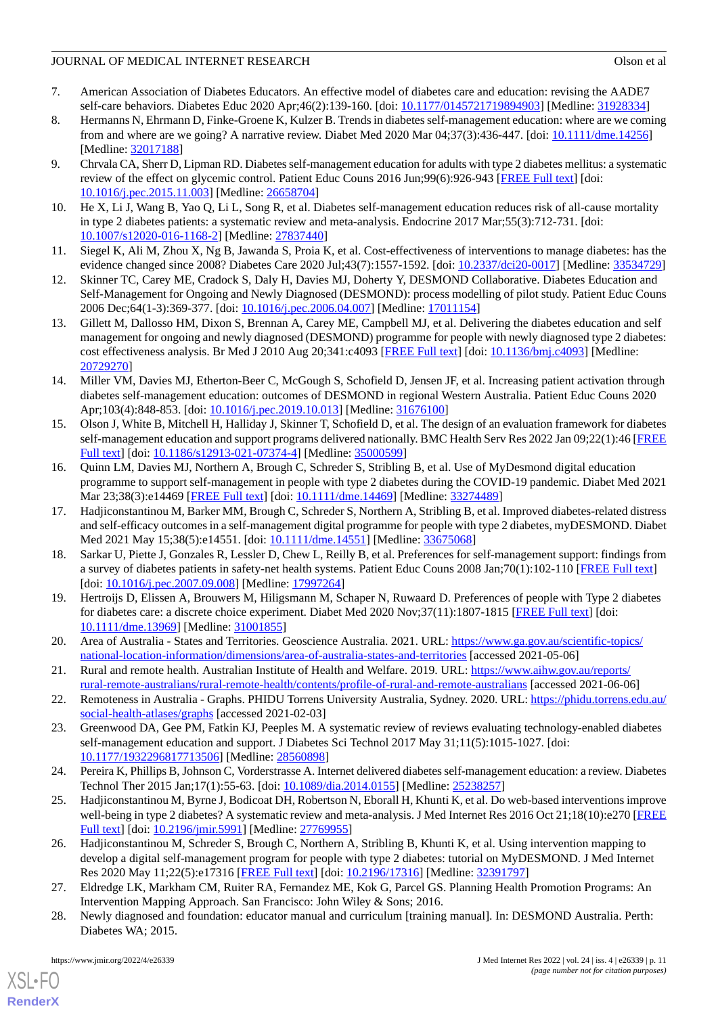- <span id="page-10-0"></span>7. American Association of Diabetes Educators. An effective model of diabetes care and education: revising the AADE7 self-care behaviors. Diabetes Educ 2020 Apr;46(2):139-160. [doi: [10.1177/0145721719894903\]](http://dx.doi.org/10.1177/0145721719894903) [Medline: [31928334\]](http://www.ncbi.nlm.nih.gov/entrez/query.fcgi?cmd=Retrieve&db=PubMed&list_uids=31928334&dopt=Abstract)
- <span id="page-10-1"></span>8. Hermanns N, Ehrmann D, Finke-Groene K, Kulzer B. Trends in diabetes self-management education: where are we coming from and where are we going? A narrative review. Diabet Med 2020 Mar 04;37(3):436-447. [doi: [10.1111/dme.14256\]](http://dx.doi.org/10.1111/dme.14256) [Medline: [32017188](http://www.ncbi.nlm.nih.gov/entrez/query.fcgi?cmd=Retrieve&db=PubMed&list_uids=32017188&dopt=Abstract)]
- <span id="page-10-2"></span>9. Chrvala CA, Sherr D, Lipman RD. Diabetes self-management education for adults with type 2 diabetes mellitus: a systematic review of the effect on glycemic control. Patient Educ Couns 2016 Jun;99(6):926-943 [\[FREE Full text\]](https://linkinghub.elsevier.com/retrieve/pii/S0738-3991(15)30116-6) [doi: [10.1016/j.pec.2015.11.003\]](http://dx.doi.org/10.1016/j.pec.2015.11.003) [Medline: [26658704](http://www.ncbi.nlm.nih.gov/entrez/query.fcgi?cmd=Retrieve&db=PubMed&list_uids=26658704&dopt=Abstract)]
- <span id="page-10-4"></span><span id="page-10-3"></span>10. He X, Li J, Wang B, Yao Q, Li L, Song R, et al. Diabetes self-management education reduces risk of all-cause mortality in type 2 diabetes patients: a systematic review and meta-analysis. Endocrine 2017 Mar;55(3):712-731. [doi: [10.1007/s12020-016-1168-2\]](http://dx.doi.org/10.1007/s12020-016-1168-2) [Medline: [27837440](http://www.ncbi.nlm.nih.gov/entrez/query.fcgi?cmd=Retrieve&db=PubMed&list_uids=27837440&dopt=Abstract)]
- <span id="page-10-5"></span>11. Siegel K, Ali M, Zhou X, Ng B, Jawanda S, Proia K, et al. Cost-effectiveness of interventions to manage diabetes: has the evidence changed since 2008? Diabetes Care 2020 Jul;43(7):1557-1592. [doi: [10.2337/dci20-0017\]](http://dx.doi.org/10.2337/dci20-0017) [Medline: [33534729\]](http://www.ncbi.nlm.nih.gov/entrez/query.fcgi?cmd=Retrieve&db=PubMed&list_uids=33534729&dopt=Abstract)
- <span id="page-10-6"></span>12. Skinner TC, Carey ME, Cradock S, Daly H, Davies MJ, Doherty Y, DESMOND Collaborative. Diabetes Education and Self-Management for Ongoing and Newly Diagnosed (DESMOND): process modelling of pilot study. Patient Educ Couns 2006 Dec;64(1-3):369-377. [doi: [10.1016/j.pec.2006.04.007](http://dx.doi.org/10.1016/j.pec.2006.04.007)] [Medline: [17011154](http://www.ncbi.nlm.nih.gov/entrez/query.fcgi?cmd=Retrieve&db=PubMed&list_uids=17011154&dopt=Abstract)]
- <span id="page-10-7"></span>13. Gillett M, Dallosso HM, Dixon S, Brennan A, Carey ME, Campbell MJ, et al. Delivering the diabetes education and self management for ongoing and newly diagnosed (DESMOND) programme for people with newly diagnosed type 2 diabetes: cost effectiveness analysis. Br Med J 2010 Aug 20;341:c4093 [\[FREE Full text\]](http://europepmc.org/abstract/MED/20729270) [doi: [10.1136/bmj.c4093\]](http://dx.doi.org/10.1136/bmj.c4093) [Medline: [20729270](http://www.ncbi.nlm.nih.gov/entrez/query.fcgi?cmd=Retrieve&db=PubMed&list_uids=20729270&dopt=Abstract)]
- <span id="page-10-8"></span>14. Miller VM, Davies MJ, Etherton-Beer C, McGough S, Schofield D, Jensen JF, et al. Increasing patient activation through diabetes self-management education: outcomes of DESMOND in regional Western Australia. Patient Educ Couns 2020 Apr;103(4):848-853. [doi: [10.1016/j.pec.2019.10.013\]](http://dx.doi.org/10.1016/j.pec.2019.10.013) [Medline: [31676100\]](http://www.ncbi.nlm.nih.gov/entrez/query.fcgi?cmd=Retrieve&db=PubMed&list_uids=31676100&dopt=Abstract)
- <span id="page-10-9"></span>15. Olson J, White B, Mitchell H, Halliday J, Skinner T, Schofield D, et al. The design of an evaluation framework for diabetes self-management education and support programs delivered nationally. BMC Health Serv Res 2022 Jan 09;22(1):46 [\[FREE](https://bmchealthservres.biomedcentral.com/articles/10.1186/s12913-021-07374-4) [Full text\]](https://bmchealthservres.biomedcentral.com/articles/10.1186/s12913-021-07374-4) [doi: [10.1186/s12913-021-07374-4](http://dx.doi.org/10.1186/s12913-021-07374-4)] [Medline: [35000599](http://www.ncbi.nlm.nih.gov/entrez/query.fcgi?cmd=Retrieve&db=PubMed&list_uids=35000599&dopt=Abstract)]
- <span id="page-10-10"></span>16. Quinn LM, Davies MJ, Northern A, Brough C, Schreder S, Stribling B, et al. Use of MyDesmond digital education programme to support self-management in people with type 2 diabetes during the COVID-19 pandemic. Diabet Med 2021 Mar 23;38(3):e14469 [\[FREE Full text\]](http://europepmc.org/abstract/MED/33274489) [doi: [10.1111/dme.14469\]](http://dx.doi.org/10.1111/dme.14469) [Medline: [33274489\]](http://www.ncbi.nlm.nih.gov/entrez/query.fcgi?cmd=Retrieve&db=PubMed&list_uids=33274489&dopt=Abstract)
- <span id="page-10-11"></span>17. Hadjiconstantinou M, Barker MM, Brough C, Schreder S, Northern A, Stribling B, et al. Improved diabetes-related distress and self-efficacy outcomes in a self-management digital programme for people with type 2 diabetes, myDESMOND. Diabet Med 2021 May 15;38(5):e14551. [doi: [10.1111/dme.14551\]](http://dx.doi.org/10.1111/dme.14551) [Medline: [33675068\]](http://www.ncbi.nlm.nih.gov/entrez/query.fcgi?cmd=Retrieve&db=PubMed&list_uids=33675068&dopt=Abstract)
- <span id="page-10-12"></span>18. Sarkar U, Piette J, Gonzales R, Lessler D, Chew L, Reilly B, et al. Preferences for self-management support: findings from a survey of diabetes patients in safety-net health systems. Patient Educ Couns 2008 Jan;70(1):102-110 [\[FREE Full text\]](http://europepmc.org/abstract/MED/17997264) [doi: [10.1016/j.pec.2007.09.008\]](http://dx.doi.org/10.1016/j.pec.2007.09.008) [Medline: [17997264\]](http://www.ncbi.nlm.nih.gov/entrez/query.fcgi?cmd=Retrieve&db=PubMed&list_uids=17997264&dopt=Abstract)
- <span id="page-10-14"></span><span id="page-10-13"></span>19. Hertroijs D, Elissen A, Brouwers M, Hiligsmann M, Schaper N, Ruwaard D. Preferences of people with Type 2 diabetes for diabetes care: a discrete choice experiment. Diabet Med 2020 Nov;37(11):1807-1815 [[FREE Full text](http://europepmc.org/abstract/MED/31001855)] [doi: [10.1111/dme.13969](http://dx.doi.org/10.1111/dme.13969)] [Medline: [31001855](http://www.ncbi.nlm.nih.gov/entrez/query.fcgi?cmd=Retrieve&db=PubMed&list_uids=31001855&dopt=Abstract)]
- <span id="page-10-15"></span>20. Area of Australia - States and Territories. Geoscience Australia. 2021. URL: [https://www.ga.gov.au/scientific-topics/](https://www.ga.gov.au/scientific-topics/national-location-information/dimensions/area-of-australia-states-and-territories) [national-location-information/dimensions/area-of-australia-states-and-territories](https://www.ga.gov.au/scientific-topics/national-location-information/dimensions/area-of-australia-states-and-territories) [accessed 2021-05-06]
- <span id="page-10-16"></span>21. Rural and remote health. Australian Institute of Health and Welfare. 2019. URL: [https://www.aihw.gov.au/reports/](https://www.aihw.gov.au/reports/rural-remote-australians/rural-remote-health/contents/profile-of-rural-and-remote-australians) [rural-remote-australians/rural-remote-health/contents/profile-of-rural-and-remote-australians](https://www.aihw.gov.au/reports/rural-remote-australians/rural-remote-health/contents/profile-of-rural-and-remote-australians) [accessed 2021-06-06]
- <span id="page-10-17"></span>22. Remoteness in Australia - Graphs. PHIDU Torrens University Australia, Sydney. 2020. URL: [https://phidu.torrens.edu.au/](https://phidu.torrens.edu.au/social-health-atlases/graphs) [social-health-atlases/graphs](https://phidu.torrens.edu.au/social-health-atlases/graphs) [accessed 2021-02-03]
- <span id="page-10-18"></span>23. Greenwood DA, Gee PM, Fatkin KJ, Peeples M. A systematic review of reviews evaluating technology-enabled diabetes self-management education and support. J Diabetes Sci Technol 2017 May 31;11(5):1015-1027. [doi: [10.1177/1932296817713506\]](http://dx.doi.org/10.1177/1932296817713506) [Medline: [28560898\]](http://www.ncbi.nlm.nih.gov/entrez/query.fcgi?cmd=Retrieve&db=PubMed&list_uids=28560898&dopt=Abstract)
- <span id="page-10-19"></span>24. Pereira K, Phillips B, Johnson C, Vorderstrasse A. Internet delivered diabetes self-management education: a review. Diabetes Technol Ther 2015 Jan;17(1):55-63. [doi: [10.1089/dia.2014.0155\]](http://dx.doi.org/10.1089/dia.2014.0155) [Medline: [25238257\]](http://www.ncbi.nlm.nih.gov/entrez/query.fcgi?cmd=Retrieve&db=PubMed&list_uids=25238257&dopt=Abstract)
- <span id="page-10-20"></span>25. Hadjiconstantinou M, Byrne J, Bodicoat DH, Robertson N, Eborall H, Khunti K, et al. Do web-based interventions improve well-being in type 2 diabetes? A systematic review and meta-analysis. J Med Internet Res 2016 Oct 21;18(10):e270 [\[FREE](http://www.jmir.org/2016/10/e270/) [Full text\]](http://www.jmir.org/2016/10/e270/) [doi: [10.2196/jmir.5991](http://dx.doi.org/10.2196/jmir.5991)] [Medline: [27769955\]](http://www.ncbi.nlm.nih.gov/entrez/query.fcgi?cmd=Retrieve&db=PubMed&list_uids=27769955&dopt=Abstract)
- <span id="page-10-21"></span>26. Hadjiconstantinou M, Schreder S, Brough C, Northern A, Stribling B, Khunti K, et al. Using intervention mapping to develop a digital self-management program for people with type 2 diabetes: tutorial on MyDESMOND. J Med Internet Res 2020 May 11;22(5):e17316 [[FREE Full text](https://www.jmir.org/2020/5/e17316/)] [doi: [10.2196/17316\]](http://dx.doi.org/10.2196/17316) [Medline: [32391797\]](http://www.ncbi.nlm.nih.gov/entrez/query.fcgi?cmd=Retrieve&db=PubMed&list_uids=32391797&dopt=Abstract)
- 27. Eldredge LK, Markham CM, Ruiter RA, Fernandez ME, Kok G, Parcel GS. Planning Health Promotion Programs: An Intervention Mapping Approach. San Francisco: John Wiley & Sons; 2016.
- 28. Newly diagnosed and foundation: educator manual and curriculum [training manual]. In: DESMOND Australia. Perth: Diabetes WA; 2015.

[XSL](http://www.w3.org/Style/XSL)•FO **[RenderX](http://www.renderx.com/)**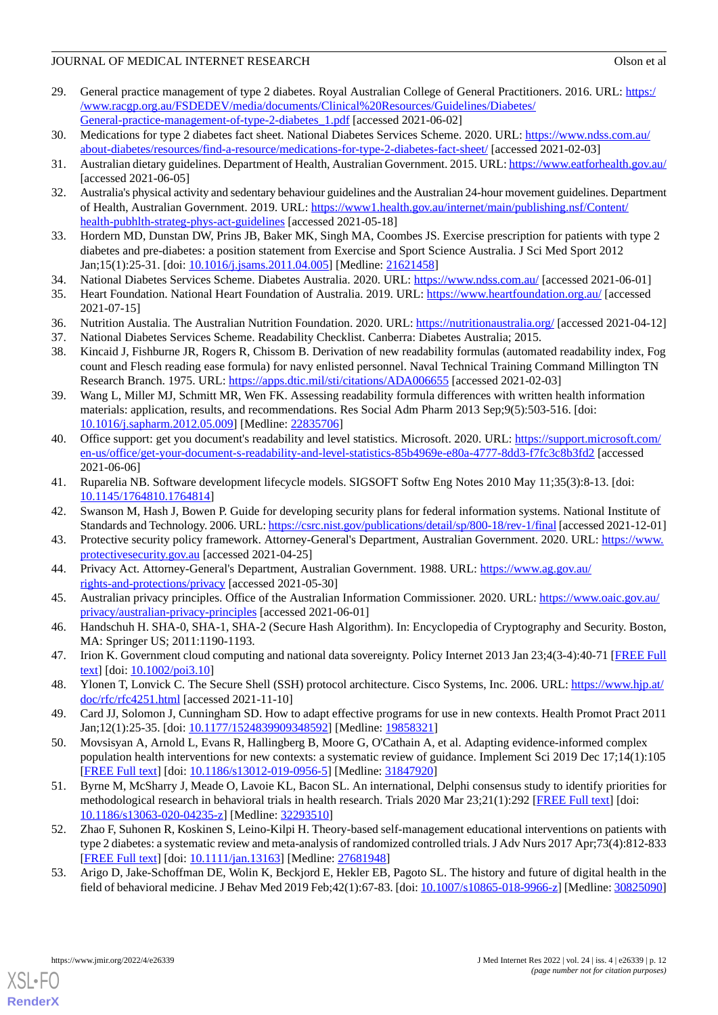- <span id="page-11-0"></span>29. General practice management of type 2 diabetes. Royal Australian College of General Practitioners. 2016. URL: [https:/](https://www.racgp.org.au/FSDEDEV/media/documents/Clinical%20Resources/Guidelines/Diabetes/General-practice-management-of-type-2-diabetes_1.pdf) [/www.racgp.org.au/FSDEDEV/media/documents/Clinical%20Resources/Guidelines/Diabetes/](https://www.racgp.org.au/FSDEDEV/media/documents/Clinical%20Resources/Guidelines/Diabetes/General-practice-management-of-type-2-diabetes_1.pdf) [General-practice-management-of-type-2-diabetes\\_1.pdf](https://www.racgp.org.au/FSDEDEV/media/documents/Clinical%20Resources/Guidelines/Diabetes/General-practice-management-of-type-2-diabetes_1.pdf) [accessed 2021-06-02]
- <span id="page-11-2"></span><span id="page-11-1"></span>30. Medications for type 2 diabetes fact sheet. National Diabetes Services Scheme. 2020. URL: [https://www.ndss.com.au/](https://www.ndss.com.au/about-diabetes/resources/find-a-resource/medications-for-type-2-diabetes-fact-sheet/) [about-diabetes/resources/find-a-resource/medications-for-type-2-diabetes-fact-sheet/](https://www.ndss.com.au/about-diabetes/resources/find-a-resource/medications-for-type-2-diabetes-fact-sheet/) [accessed 2021-02-03]
- <span id="page-11-3"></span>31. Australian dietary guidelines. Department of Health, Australian Government. 2015. URL:<https://www.eatforhealth.gov.au/> [accessed 2021-06-05]
- <span id="page-11-4"></span>32. Australia's physical activity and sedentary behaviour guidelines and the Australian 24-hour movement guidelines. Department of Health, Australian Government. 2019. URL: [https://www1.health.gov.au/internet/main/publishing.nsf/Content/](https://www1.health.gov.au/internet/main/publishing.nsf/Content/health-pubhlth-strateg-phys-act-guidelines) [health-pubhlth-strateg-phys-act-guidelines](https://www1.health.gov.au/internet/main/publishing.nsf/Content/health-pubhlth-strateg-phys-act-guidelines) [accessed 2021-05-18]
- <span id="page-11-5"></span>33. Hordern MD, Dunstan DW, Prins JB, Baker MK, Singh MA, Coombes JS. Exercise prescription for patients with type 2 diabetes and pre-diabetes: a position statement from Exercise and Sport Science Australia. J Sci Med Sport 2012 Jan;15(1):25-31. [doi: [10.1016/j.jsams.2011.04.005\]](http://dx.doi.org/10.1016/j.jsams.2011.04.005) [Medline: [21621458](http://www.ncbi.nlm.nih.gov/entrez/query.fcgi?cmd=Retrieve&db=PubMed&list_uids=21621458&dopt=Abstract)]
- <span id="page-11-6"></span>34. National Diabetes Services Scheme. Diabetes Australia. 2020. URL:<https://www.ndss.com.au/> [accessed 2021-06-01]
- <span id="page-11-8"></span><span id="page-11-7"></span>35. Heart Foundation. National Heart Foundation of Australia. 2019. URL: <https://www.heartfoundation.org.au/> [accessed 2021-07-15]
- <span id="page-11-9"></span>36. Nutrition Austalia. The Australian Nutrition Foundation. 2020. URL:<https://nutritionaustralia.org/> [accessed 2021-04-12]
- 37. National Diabetes Services Scheme. Readability Checklist. Canberra: Diabetes Australia; 2015.
- <span id="page-11-10"></span>38. Kincaid J, Fishburne JR, Rogers R, Chissom B. Derivation of new readability formulas (automated readability index, Fog count and Flesch reading ease formula) for navy enlisted personnel. Naval Technical Training Command Millington TN Research Branch. 1975. URL: <https://apps.dtic.mil/sti/citations/ADA006655> [accessed 2021-02-03]
- <span id="page-11-11"></span>39. Wang L, Miller MJ, Schmitt MR, Wen FK. Assessing readability formula differences with written health information materials: application, results, and recommendations. Res Social Adm Pharm 2013 Sep;9(5):503-516. [doi: [10.1016/j.sapharm.2012.05.009\]](http://dx.doi.org/10.1016/j.sapharm.2012.05.009) [Medline: [22835706](http://www.ncbi.nlm.nih.gov/entrez/query.fcgi?cmd=Retrieve&db=PubMed&list_uids=22835706&dopt=Abstract)]
- <span id="page-11-12"></span>40. Office support: get you document's readability and level statistics. Microsoft. 2020. URL: [https://support.microsoft.com/](https://support.microsoft.com/en-us/office/get-your-document-s-readability-and-level-statistics-85b4969e-e80a-4777-8dd3-f7fc3c8b3fd2) [en-us/office/get-your-document-s-readability-and-level-statistics-85b4969e-e80a-4777-8dd3-f7fc3c8b3fd2](https://support.microsoft.com/en-us/office/get-your-document-s-readability-and-level-statistics-85b4969e-e80a-4777-8dd3-f7fc3c8b3fd2) [accessed 2021-06-06]
- <span id="page-11-14"></span><span id="page-11-13"></span>41. Ruparelia NB. Software development lifecycle models. SIGSOFT Softw Eng Notes 2010 May 11;35(3):8-13. [doi: [10.1145/1764810.1764814](http://dx.doi.org/10.1145/1764810.1764814)]
- <span id="page-11-15"></span>42. Swanson M, Hash J, Bowen P. Guide for developing security plans for federal information systems. National Institute of Standards and Technology. 2006. URL:<https://csrc.nist.gov/publications/detail/sp/800-18/rev-1/final> [accessed 2021-12-01]
- <span id="page-11-16"></span>43. Protective security policy framework. Attorney-General's Department, Australian Government. 2020. URL: [https://www.](https://www.protectivesecurity.gov.au) [protectivesecurity.gov.au](https://www.protectivesecurity.gov.au) [accessed 2021-04-25]
- <span id="page-11-17"></span>44. Privacy Act. Attorney-General's Department, Australian Government. 1988. URL: [https://www.ag.gov.au/](https://www.ag.gov.au/rights-and-protections/privacy) [rights-and-protections/privacy](https://www.ag.gov.au/rights-and-protections/privacy) [accessed 2021-05-30]
- <span id="page-11-18"></span>45. Australian privacy principles. Office of the Australian Information Commissioner. 2020. URL: [https://www.oaic.gov.au/](https://www.oaic.gov.au/privacy/australian-privacy-principles) [privacy/australian-privacy-principles](https://www.oaic.gov.au/privacy/australian-privacy-principles) [accessed 2021-06-01]
- <span id="page-11-19"></span>46. Handschuh H. SHA-0, SHA-1, SHA-2 (Secure Hash Algorithm). In: Encyclopedia of Cryptography and Security. Boston, MA: Springer US; 2011:1190-1193.
- <span id="page-11-21"></span><span id="page-11-20"></span>47. Irion K. Government cloud computing and national data sovereignty. Policy Internet 2013 Jan 23;4(3-4):40-71 [[FREE Full](https://doi.org/10.1002/poi3.10) [text](https://doi.org/10.1002/poi3.10)] [doi: [10.1002/poi3.10](http://dx.doi.org/10.1002/poi3.10)]
- 48. Ylonen T, Lonvick C. The Secure Shell (SSH) protocol architecture. Cisco Systems, Inc. 2006. URL: [https://www.hjp.at/](https://www.hjp.at/doc/rfc/rfc4251.html) [doc/rfc/rfc4251.html](https://www.hjp.at/doc/rfc/rfc4251.html) [accessed 2021-11-10]
- <span id="page-11-22"></span>49. Card JJ, Solomon J, Cunningham SD. How to adapt effective programs for use in new contexts. Health Promot Pract 2011 Jan;12(1):25-35. [doi: [10.1177/1524839909348592](http://dx.doi.org/10.1177/1524839909348592)] [Medline: [19858321\]](http://www.ncbi.nlm.nih.gov/entrez/query.fcgi?cmd=Retrieve&db=PubMed&list_uids=19858321&dopt=Abstract)
- <span id="page-11-23"></span>50. Movsisyan A, Arnold L, Evans R, Hallingberg B, Moore G, O'Cathain A, et al. Adapting evidence-informed complex population health interventions for new contexts: a systematic review of guidance. Implement Sci 2019 Dec 17;14(1):105 [[FREE Full text](https://implementationscience.biomedcentral.com/articles/10.1186/s13012-019-0956-5)] [doi: [10.1186/s13012-019-0956-5\]](http://dx.doi.org/10.1186/s13012-019-0956-5) [Medline: [31847920](http://www.ncbi.nlm.nih.gov/entrez/query.fcgi?cmd=Retrieve&db=PubMed&list_uids=31847920&dopt=Abstract)]
- <span id="page-11-24"></span>51. Byrne M, McSharry J, Meade O, Lavoie KL, Bacon SL. An international, Delphi consensus study to identify priorities for methodological research in behavioral trials in health research. Trials 2020 Mar 23;21(1):292 [\[FREE Full text\]](https://trialsjournal.biomedcentral.com/articles/10.1186/s13063-020-04235-z) [doi: [10.1186/s13063-020-04235-z](http://dx.doi.org/10.1186/s13063-020-04235-z)] [Medline: [32293510\]](http://www.ncbi.nlm.nih.gov/entrez/query.fcgi?cmd=Retrieve&db=PubMed&list_uids=32293510&dopt=Abstract)
- 52. Zhao F, Suhonen R, Koskinen S, Leino-Kilpi H. Theory-based self-management educational interventions on patients with type 2 diabetes: a systematic review and meta-analysis of randomized controlled trials. J Adv Nurs 2017 Apr;73(4):812-833 [[FREE Full text](https://doi.org/10.1111/jan.13163)] [doi: [10.1111/jan.13163](http://dx.doi.org/10.1111/jan.13163)] [Medline: [27681948](http://www.ncbi.nlm.nih.gov/entrez/query.fcgi?cmd=Retrieve&db=PubMed&list_uids=27681948&dopt=Abstract)]
- 53. Arigo D, Jake-Schoffman DE, Wolin K, Beckjord E, Hekler EB, Pagoto SL. The history and future of digital health in the field of behavioral medicine. J Behav Med 2019 Feb;42(1):67-83. [doi: [10.1007/s10865-018-9966-z\]](http://dx.doi.org/10.1007/s10865-018-9966-z) [Medline: [30825090](http://www.ncbi.nlm.nih.gov/entrez/query.fcgi?cmd=Retrieve&db=PubMed&list_uids=30825090&dopt=Abstract)]

[XSL](http://www.w3.org/Style/XSL)•FO **[RenderX](http://www.renderx.com/)**